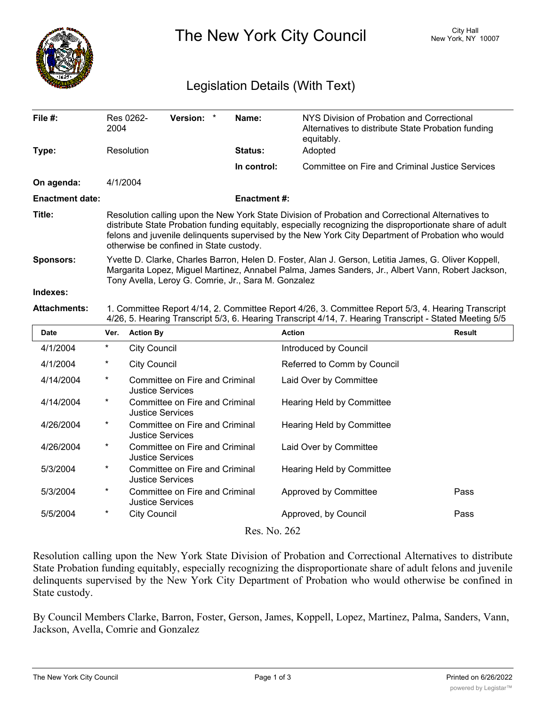

The New York City Council New York, NY 10007

## Legislation Details (With Text)

| File #:                | 2004                                                                                                                                                                                                                                                                                                                                                          | Res 0262-           | Version: *                                                |  | Name:              | NYS Division of Probation and Correctional<br>Alternatives to distribute State Probation funding<br>equitably.                                                                                                |               |  |  |
|------------------------|---------------------------------------------------------------------------------------------------------------------------------------------------------------------------------------------------------------------------------------------------------------------------------------------------------------------------------------------------------------|---------------------|-----------------------------------------------------------|--|--------------------|---------------------------------------------------------------------------------------------------------------------------------------------------------------------------------------------------------------|---------------|--|--|
| Type:                  | Resolution                                                                                                                                                                                                                                                                                                                                                    |                     |                                                           |  | <b>Status:</b>     | Adopted                                                                                                                                                                                                       |               |  |  |
|                        |                                                                                                                                                                                                                                                                                                                                                               |                     |                                                           |  | In control:        | <b>Committee on Fire and Criminal Justice Services</b>                                                                                                                                                        |               |  |  |
| On agenda:             | 4/1/2004                                                                                                                                                                                                                                                                                                                                                      |                     |                                                           |  |                    |                                                                                                                                                                                                               |               |  |  |
| <b>Enactment date:</b> |                                                                                                                                                                                                                                                                                                                                                               |                     |                                                           |  | <b>Enactment#:</b> |                                                                                                                                                                                                               |               |  |  |
| Title:                 | Resolution calling upon the New York State Division of Probation and Correctional Alternatives to<br>distribute State Probation funding equitably, especially recognizing the disproportionate share of adult<br>felons and juvenile delinquents supervised by the New York City Department of Probation who would<br>otherwise be confined in State custody. |                     |                                                           |  |                    |                                                                                                                                                                                                               |               |  |  |
| <b>Sponsors:</b>       | Yvette D. Clarke, Charles Barron, Helen D. Foster, Alan J. Gerson, Letitia James, G. Oliver Koppell,<br>Margarita Lopez, Miguel Martinez, Annabel Palma, James Sanders, Jr., Albert Vann, Robert Jackson,<br>Tony Avella, Leroy G. Comrie, Jr., Sara M. Gonzalez                                                                                              |                     |                                                           |  |                    |                                                                                                                                                                                                               |               |  |  |
| Indexes:               |                                                                                                                                                                                                                                                                                                                                                               |                     |                                                           |  |                    |                                                                                                                                                                                                               |               |  |  |
| <b>Attachments:</b>    |                                                                                                                                                                                                                                                                                                                                                               |                     |                                                           |  |                    | 1. Committee Report 4/14, 2. Committee Report 4/26, 3. Committee Report 5/3, 4. Hearing Transcript<br>4/26, 5. Hearing Transcript 5/3, 6. Hearing Transcript 4/14, 7. Hearing Transcript - Stated Meeting 5/5 |               |  |  |
| <b>Date</b>            | Ver.                                                                                                                                                                                                                                                                                                                                                          | <b>Action By</b>    |                                                           |  |                    | <b>Action</b>                                                                                                                                                                                                 | <b>Result</b> |  |  |
| 4/1/2004               | $^\star$                                                                                                                                                                                                                                                                                                                                                      | <b>City Council</b> |                                                           |  |                    | Introduced by Council                                                                                                                                                                                         |               |  |  |
| 4/1/2004               | $\ast$                                                                                                                                                                                                                                                                                                                                                        | <b>City Council</b> |                                                           |  |                    | Referred to Comm by Council                                                                                                                                                                                   |               |  |  |
| 4/14/2004              | $\star$                                                                                                                                                                                                                                                                                                                                                       |                     | Committee on Fire and Criminal<br><b>Justice Services</b> |  |                    | Laid Over by Committee                                                                                                                                                                                        |               |  |  |
| 4/14/2004              | $^{\star}$<br>Committee on Fire and Criminal<br><b>Justice Services</b>                                                                                                                                                                                                                                                                                       |                     |                                                           |  |                    | <b>Hearing Held by Committee</b>                                                                                                                                                                              |               |  |  |
| 4/26/2004              | $^\star$<br>Committee on Fire and Criminal<br><b>Justice Services</b>                                                                                                                                                                                                                                                                                         |                     |                                                           |  |                    | Hearing Held by Committee                                                                                                                                                                                     |               |  |  |
| 4/26/2004              | $^\star$                                                                                                                                                                                                                                                                                                                                                      |                     | Committee on Fire and Criminal<br><b>Justice Services</b> |  |                    | Laid Over by Committee                                                                                                                                                                                        |               |  |  |
| 5/3/2004               | $\star$                                                                                                                                                                                                                                                                                                                                                       |                     | Committee on Fire and Criminal<br><b>Justice Services</b> |  |                    | Hearing Held by Committee                                                                                                                                                                                     |               |  |  |
| 5/3/2004               | $^\star$                                                                                                                                                                                                                                                                                                                                                      |                     | Committee on Fire and Criminal<br><b>Justice Services</b> |  |                    | Approved by Committee                                                                                                                                                                                         | Pass          |  |  |
| 5/5/2004               | $\star$                                                                                                                                                                                                                                                                                                                                                       | <b>City Council</b> |                                                           |  |                    | Approved, by Council                                                                                                                                                                                          | Pass          |  |  |
|                        |                                                                                                                                                                                                                                                                                                                                                               |                     |                                                           |  |                    |                                                                                                                                                                                                               |               |  |  |

Resolution calling upon the New York State Division of Probation and Correctional Alternatives to distribute State Probation funding equitably, especially recognizing the disproportionate share of adult felons and juvenile delinquents supervised by the New York City Department of Probation who would otherwise be confined in State custody.

By Council Members Clarke, Barron, Foster, Gerson, James, Koppell, Lopez, Martinez, Palma, Sanders, Vann, Jackson, Avella, Comrie and Gonzalez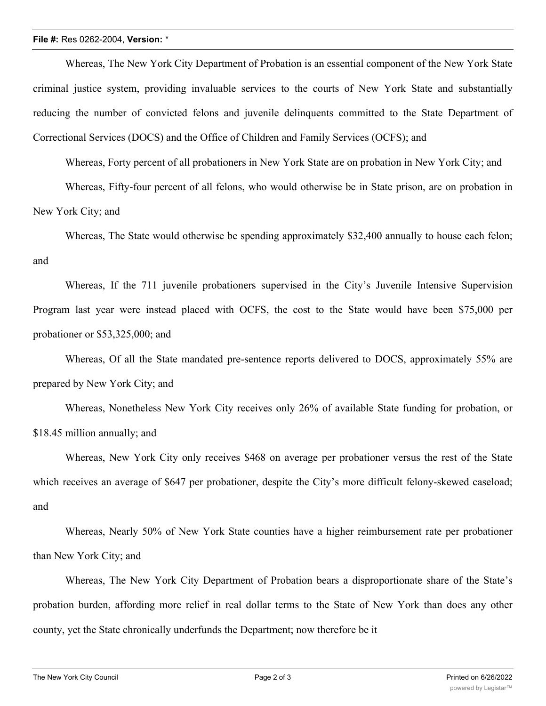## **File #:** Res 0262-2004, **Version:** \*

Whereas, The New York City Department of Probation is an essential component of the New York State criminal justice system, providing invaluable services to the courts of New York State and substantially reducing the number of convicted felons and juvenile delinquents committed to the State Department of Correctional Services (DOCS) and the Office of Children and Family Services (OCFS); and

Whereas, Forty percent of all probationers in New York State are on probation in New York City; and

Whereas, Fifty-four percent of all felons, who would otherwise be in State prison, are on probation in New York City; and

Whereas, The State would otherwise be spending approximately \$32,400 annually to house each felon; and

Whereas, If the 711 juvenile probationers supervised in the City's Juvenile Intensive Supervision Program last year were instead placed with OCFS, the cost to the State would have been \$75,000 per probationer or \$53,325,000; and

Whereas, Of all the State mandated pre-sentence reports delivered to DOCS, approximately 55% are prepared by New York City; and

Whereas, Nonetheless New York City receives only 26% of available State funding for probation, or \$18.45 million annually; and

Whereas, New York City only receives \$468 on average per probationer versus the rest of the State which receives an average of \$647 per probationer, despite the City's more difficult felony-skewed caseload; and

Whereas, Nearly 50% of New York State counties have a higher reimbursement rate per probationer than New York City; and

Whereas, The New York City Department of Probation bears a disproportionate share of the State's probation burden, affording more relief in real dollar terms to the State of New York than does any other county, yet the State chronically underfunds the Department; now therefore be it